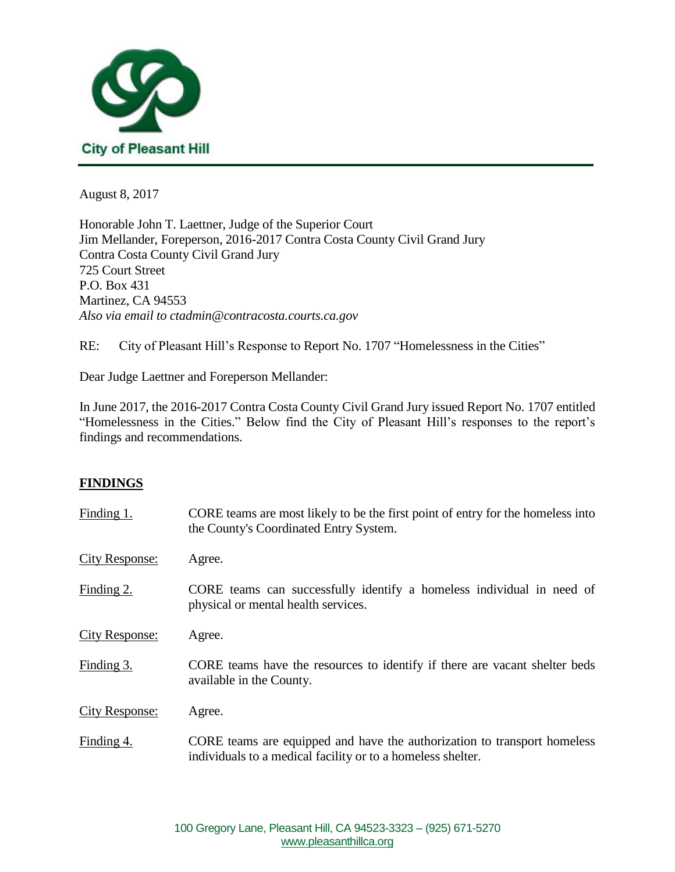

August 8, 2017

Honorable John T. Laettner, Judge of the Superior Court Jim Mellander, Foreperson, 2016-2017 Contra Costa County Civil Grand Jury Contra Costa County Civil Grand Jury 725 Court Street P.O. Box 431 Martinez, CA 94553 *Also via email to ctadmin@contracosta.courts.ca.gov*

RE: City of Pleasant Hill's Response to Report No. 1707 "Homelessness in the Cities"

Dear Judge Laettner and Foreperson Mellander:

In June 2017, the 2016-2017 Contra Costa County Civil Grand Jury issued Report No. 1707 entitled "Homelessness in the Cities." Below find the City of Pleasant Hill's responses to the report's findings and recommendations.

## **FINDINGS**

| Finding 1.            | CORE teams are most likely to be the first point of entry for the homeless into<br>the County's Coordinated Entry System.               |
|-----------------------|-----------------------------------------------------------------------------------------------------------------------------------------|
| <b>City Response:</b> | Agree.                                                                                                                                  |
| Finding 2.            | CORE teams can successfully identify a homeless individual in need of<br>physical or mental health services.                            |
| <b>City Response:</b> | Agree.                                                                                                                                  |
| Finding 3.            | CORE teams have the resources to identify if there are vacant shelter beds<br>available in the County.                                  |
| <b>City Response:</b> | Agree.                                                                                                                                  |
| Finding 4.            | CORE teams are equipped and have the authorization to transport homeless<br>individuals to a medical facility or to a homeless shelter. |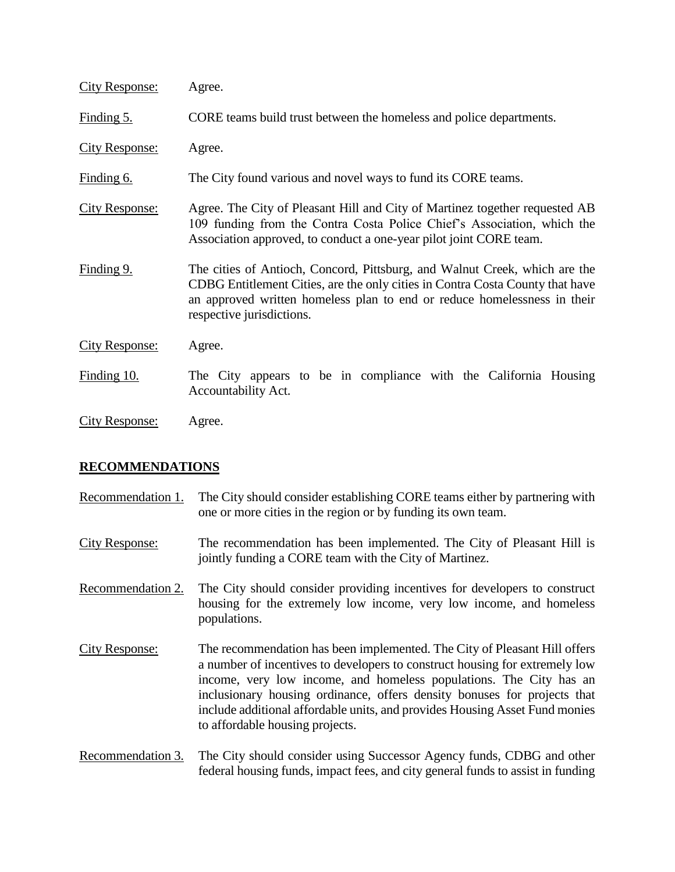| <b>City Response:</b> | Agree.                                                                                                                                                                                                                                                               |
|-----------------------|----------------------------------------------------------------------------------------------------------------------------------------------------------------------------------------------------------------------------------------------------------------------|
| Finding 5.            | CORE teams build trust between the homeless and police departments.                                                                                                                                                                                                  |
| <b>City Response:</b> | Agree.                                                                                                                                                                                                                                                               |
| Finding 6.            | The City found various and novel ways to fund its CORE teams.                                                                                                                                                                                                        |
| <b>City Response:</b> | Agree. The City of Pleasant Hill and City of Martinez together requested AB<br>109 funding from the Contra Costa Police Chief's Association, which the<br>Association approved, to conduct a one-year pilot joint CORE team.                                         |
| Finding 9.            | The cities of Antioch, Concord, Pittsburg, and Walnut Creek, which are the<br>CDBG Entitlement Cities, are the only cities in Contra Costa County that have<br>an approved written homeless plan to end or reduce homelessness in their<br>respective jurisdictions. |
| <b>City Response:</b> | Agree.                                                                                                                                                                                                                                                               |
| Finding 10.           | The City appears to be in compliance with the California Housing<br>Accountability Act.                                                                                                                                                                              |
| <b>City Response:</b> | Agree.                                                                                                                                                                                                                                                               |

## **RECOMMENDATIONS**

| Recommendation 1.     | The City should consider establishing CORE teams either by partnering with<br>one or more cities in the region or by funding its own team.                                                                                                                                                                                                                                                                                   |
|-----------------------|------------------------------------------------------------------------------------------------------------------------------------------------------------------------------------------------------------------------------------------------------------------------------------------------------------------------------------------------------------------------------------------------------------------------------|
| <b>City Response:</b> | The recommendation has been implemented. The City of Pleasant Hill is<br>jointly funding a CORE team with the City of Martinez.                                                                                                                                                                                                                                                                                              |
| Recommendation 2.     | The City should consider providing incentives for developers to construct<br>housing for the extremely low income, very low income, and homeless<br>populations.                                                                                                                                                                                                                                                             |
| City Response:        | The recommendation has been implemented. The City of Pleasant Hill offers<br>a number of incentives to developers to construct housing for extremely low<br>income, very low income, and homeless populations. The City has an<br>inclusionary housing ordinance, offers density bonuses for projects that<br>include additional affordable units, and provides Housing Asset Fund monies<br>to affordable housing projects. |
| Recommendation 3.     | The City should consider using Successor Agency funds, CDBG and other<br>federal housing funds, impact fees, and city general funds to assist in funding                                                                                                                                                                                                                                                                     |